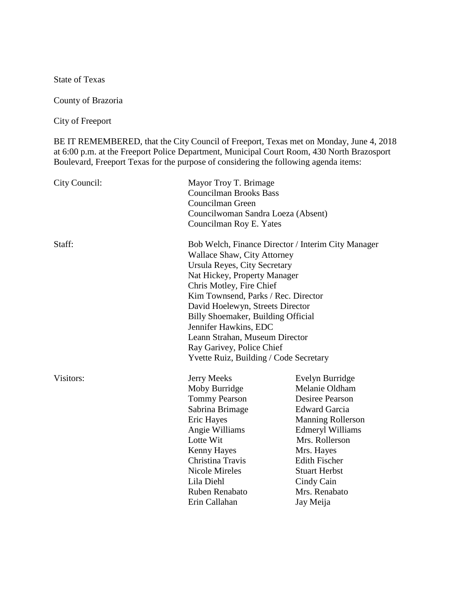State of Texas

County of Brazoria

City of Freeport

BE IT REMEMBERED, that the City Council of Freeport, Texas met on Monday, June 4, 2018 at 6:00 p.m. at the Freeport Police Department, Municipal Court Room, 430 North Brazosport Boulevard, Freeport Texas for the purpose of considering the following agenda items:

| City Council: | Mayor Troy T. Brimage<br><b>Councilman Brooks Bass</b><br>Councilman Green<br>Councilwoman Sandra Loeza (Absent)                                                                                                                                                                                                                                                                                                                        |                                                                                                                                                                                                                                                                        |
|---------------|-----------------------------------------------------------------------------------------------------------------------------------------------------------------------------------------------------------------------------------------------------------------------------------------------------------------------------------------------------------------------------------------------------------------------------------------|------------------------------------------------------------------------------------------------------------------------------------------------------------------------------------------------------------------------------------------------------------------------|
|               | Councilman Roy E. Yates                                                                                                                                                                                                                                                                                                                                                                                                                 |                                                                                                                                                                                                                                                                        |
| Staff:        | Bob Welch, Finance Director / Interim City Manager<br><b>Wallace Shaw, City Attorney</b><br>Ursula Reyes, City Secretary<br>Nat Hickey, Property Manager<br>Chris Motley, Fire Chief<br>Kim Townsend, Parks / Rec. Director<br>David Hoelewyn, Streets Director<br>Billy Shoemaker, Building Official<br>Jennifer Hawkins, EDC<br>Leann Strahan, Museum Director<br>Ray Garivey, Police Chief<br>Yvette Ruiz, Building / Code Secretary |                                                                                                                                                                                                                                                                        |
| Visitors:     | Jerry Meeks<br>Moby Burridge<br><b>Tommy Pearson</b><br>Sabrina Brimage<br>Eric Hayes<br>Angie Williams<br>Lotte Wit<br><b>Kenny Hayes</b><br>Christina Travis<br><b>Nicole Mireles</b><br>Lila Diehl<br>Ruben Renabato<br>Erin Callahan                                                                                                                                                                                                | Evelyn Burridge<br>Melanie Oldham<br><b>Desiree Pearson</b><br><b>Edward Garcia</b><br><b>Manning Rollerson</b><br><b>Edmeryl Williams</b><br>Mrs. Rollerson<br>Mrs. Hayes<br><b>Edith Fischer</b><br><b>Stuart Herbst</b><br>Cindy Cain<br>Mrs. Renabato<br>Jay Meija |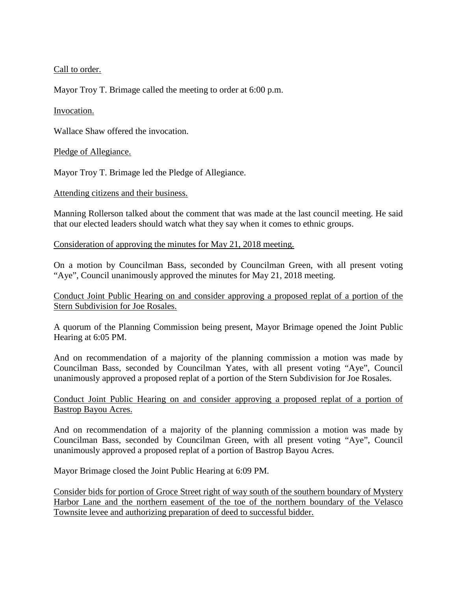Call to order.

Mayor Troy T. Brimage called the meeting to order at 6:00 p.m.

## Invocation.

Wallace Shaw offered the invocation.

## Pledge of Allegiance.

Mayor Troy T. Brimage led the Pledge of Allegiance.

## Attending citizens and their business.

Manning Rollerson talked about the comment that was made at the last council meeting. He said that our elected leaders should watch what they say when it comes to ethnic groups.

Consideration of approving the minutes for May 21, 2018 meeting.

On a motion by Councilman Bass, seconded by Councilman Green, with all present voting "Aye", Council unanimously approved the minutes for May 21, 2018 meeting.

Conduct Joint Public Hearing on and consider approving a proposed replat of a portion of the Stern Subdivision for Joe Rosales.

A quorum of the Planning Commission being present, Mayor Brimage opened the Joint Public Hearing at 6:05 PM.

And on recommendation of a majority of the planning commission a motion was made by Councilman Bass, seconded by Councilman Yates, with all present voting "Aye", Council unanimously approved a proposed replat of a portion of the Stern Subdivision for Joe Rosales.

## Conduct Joint Public Hearing on and consider approving a proposed replat of a portion of Bastrop Bayou Acres.

And on recommendation of a majority of the planning commission a motion was made by Councilman Bass, seconded by Councilman Green, with all present voting "Aye", Council unanimously approved a proposed replat of a portion of Bastrop Bayou Acres.

Mayor Brimage closed the Joint Public Hearing at 6:09 PM.

Consider bids for portion of Groce Street right of way south of the southern boundary of Mystery Harbor Lane and the northern easement of the toe of the northern boundary of the Velasco Townsite levee and authorizing preparation of deed to successful bidder.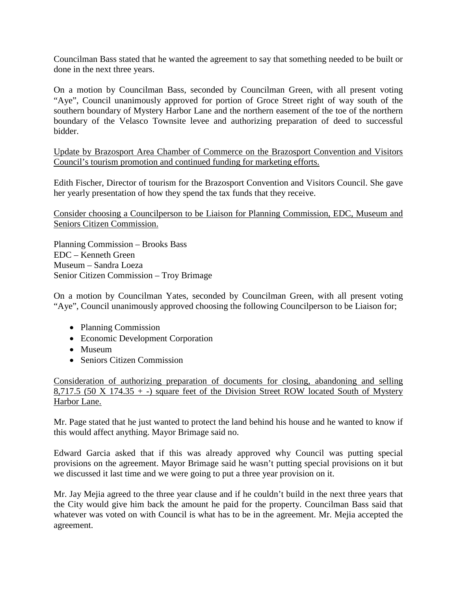Councilman Bass stated that he wanted the agreement to say that something needed to be built or done in the next three years.

On a motion by Councilman Bass, seconded by Councilman Green, with all present voting "Aye", Council unanimously approved for portion of Groce Street right of way south of the southern boundary of Mystery Harbor Lane and the northern easement of the toe of the northern boundary of the Velasco Townsite levee and authorizing preparation of deed to successful bidder.

Update by Brazosport Area Chamber of Commerce on the Brazosport Convention and Visitors Council's tourism promotion and continued funding for marketing efforts.

Edith Fischer, Director of tourism for the Brazosport Convention and Visitors Council. She gave her yearly presentation of how they spend the tax funds that they receive.

Consider choosing a Councilperson to be Liaison for Planning Commission, EDC, Museum and Seniors Citizen Commission.

Planning Commission – Brooks Bass EDC – Kenneth Green Museum – Sandra Loeza Senior Citizen Commission – Troy Brimage

On a motion by Councilman Yates, seconded by Councilman Green, with all present voting "Aye", Council unanimously approved choosing the following Councilperson to be Liaison for;

- Planning Commission
- Economic Development Corporation
- Museum
- Seniors Citizen Commission

Consideration of authorizing preparation of documents for closing, abandoning and selling 8,717.5 (50 X 174.35  $+$  -) square feet of the Division Street ROW located South of Mystery Harbor Lane.

Mr. Page stated that he just wanted to protect the land behind his house and he wanted to know if this would affect anything. Mayor Brimage said no.

Edward Garcia asked that if this was already approved why Council was putting special provisions on the agreement. Mayor Brimage said he wasn't putting special provisions on it but we discussed it last time and we were going to put a three year provision on it.

Mr. Jay Mejia agreed to the three year clause and if he couldn't build in the next three years that the City would give him back the amount he paid for the property. Councilman Bass said that whatever was voted on with Council is what has to be in the agreement. Mr. Mejia accepted the agreement.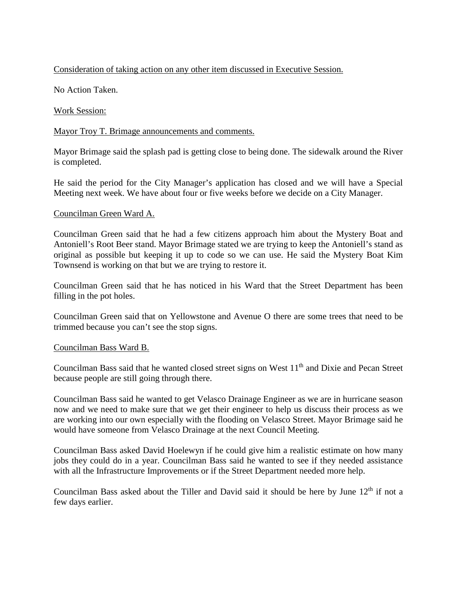# Consideration of taking action on any other item discussed in Executive Session.

No Action Taken.

## Work Session:

# Mayor Troy T. Brimage announcements and comments.

Mayor Brimage said the splash pad is getting close to being done. The sidewalk around the River is completed.

He said the period for the City Manager's application has closed and we will have a Special Meeting next week. We have about four or five weeks before we decide on a City Manager.

## Councilman Green Ward A.

Councilman Green said that he had a few citizens approach him about the Mystery Boat and Antoniell's Root Beer stand. Mayor Brimage stated we are trying to keep the Antoniell's stand as original as possible but keeping it up to code so we can use. He said the Mystery Boat Kim Townsend is working on that but we are trying to restore it.

Councilman Green said that he has noticed in his Ward that the Street Department has been filling in the pot holes.

Councilman Green said that on Yellowstone and Avenue O there are some trees that need to be trimmed because you can't see the stop signs.

## Councilman Bass Ward B.

Councilman Bass said that he wanted closed street signs on West 11<sup>th</sup> and Dixie and Pecan Street because people are still going through there.

Councilman Bass said he wanted to get Velasco Drainage Engineer as we are in hurricane season now and we need to make sure that we get their engineer to help us discuss their process as we are working into our own especially with the flooding on Velasco Street. Mayor Brimage said he would have someone from Velasco Drainage at the next Council Meeting.

Councilman Bass asked David Hoelewyn if he could give him a realistic estimate on how many jobs they could do in a year. Councilman Bass said he wanted to see if they needed assistance with all the Infrastructure Improvements or if the Street Department needed more help.

Councilman Bass asked about the Tiller and David said it should be here by June 12<sup>th</sup> if not a few days earlier.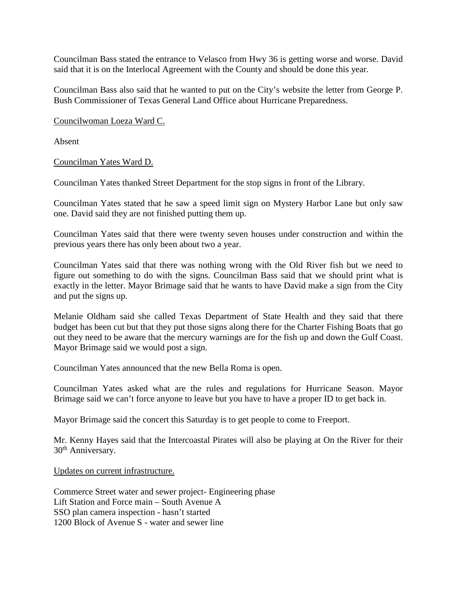Councilman Bass stated the entrance to Velasco from Hwy 36 is getting worse and worse. David said that it is on the Interlocal Agreement with the County and should be done this year.

Councilman Bass also said that he wanted to put on the City's website the letter from George P. Bush Commissioner of Texas General Land Office about Hurricane Preparedness.

Councilwoman Loeza Ward C.

Absent

Councilman Yates Ward D.

Councilman Yates thanked Street Department for the stop signs in front of the Library.

Councilman Yates stated that he saw a speed limit sign on Mystery Harbor Lane but only saw one. David said they are not finished putting them up.

Councilman Yates said that there were twenty seven houses under construction and within the previous years there has only been about two a year.

Councilman Yates said that there was nothing wrong with the Old River fish but we need to figure out something to do with the signs. Councilman Bass said that we should print what is exactly in the letter. Mayor Brimage said that he wants to have David make a sign from the City and put the signs up.

Melanie Oldham said she called Texas Department of State Health and they said that there budget has been cut but that they put those signs along there for the Charter Fishing Boats that go out they need to be aware that the mercury warnings are for the fish up and down the Gulf Coast. Mayor Brimage said we would post a sign.

Councilman Yates announced that the new Bella Roma is open.

Councilman Yates asked what are the rules and regulations for Hurricane Season. Mayor Brimage said we can't force anyone to leave but you have to have a proper ID to get back in.

Mayor Brimage said the concert this Saturday is to get people to come to Freeport.

Mr. Kenny Hayes said that the Intercoastal Pirates will also be playing at On the River for their 30<sup>th</sup> Anniversary.

Updates on current infrastructure.

Commerce Street water and sewer project- Engineering phase Lift Station and Force main – South Avenue A SSO plan camera inspection - hasn't started 1200 Block of Avenue S - water and sewer line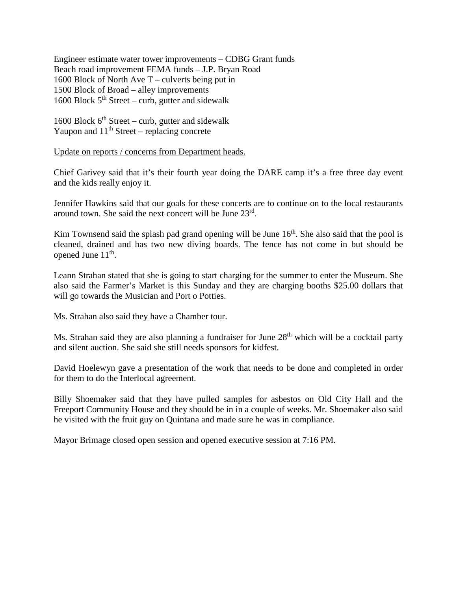Engineer estimate water tower improvements – CDBG Grant funds Beach road improvement FEMA funds – J.P. Bryan Road 1600 Block of North Ave T – culverts being put in 1500 Block of Broad – alley improvements 1600 Block  $5<sup>th</sup>$  Street – curb, gutter and sidewalk

1600 Block  $6<sup>th</sup> Street – curb$ , gutter and sidewalk Yaupon and  $11<sup>th</sup>$  Street – replacing concrete

Update on reports / concerns from Department heads.

Chief Garivey said that it's their fourth year doing the DARE camp it's a free three day event and the kids really enjoy it.

Jennifer Hawkins said that our goals for these concerts are to continue on to the local restaurants around town. She said the next concert will be June 23rd.

Kim Townsend said the splash pad grand opening will be June  $16<sup>th</sup>$ . She also said that the pool is cleaned, drained and has two new diving boards. The fence has not come in but should be opened June  $11<sup>th</sup>$ .

Leann Strahan stated that she is going to start charging for the summer to enter the Museum. She also said the Farmer's Market is this Sunday and they are charging booths \$25.00 dollars that will go towards the Musician and Port o Potties.

Ms. Strahan also said they have a Chamber tour.

Ms. Strahan said they are also planning a fundraiser for June 28<sup>th</sup> which will be a cocktail party and silent auction. She said she still needs sponsors for kidfest.

David Hoelewyn gave a presentation of the work that needs to be done and completed in order for them to do the Interlocal agreement.

Billy Shoemaker said that they have pulled samples for asbestos on Old City Hall and the Freeport Community House and they should be in in a couple of weeks. Mr. Shoemaker also said he visited with the fruit guy on Quintana and made sure he was in compliance.

Mayor Brimage closed open session and opened executive session at 7:16 PM.